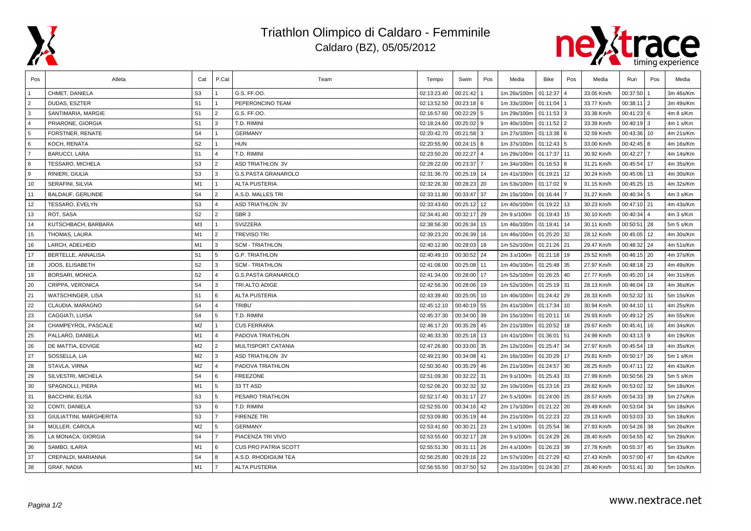

## Triathlon Olimpico di Caldaro - Femminile Caldaro (BZ), 05/05/2012



| Pos            | Atleta                   | Cat            | P.Cat                   | Team                        | Tempo       | Swim         | Pos | Media       | Bike         | Pos | Media      | Run           | Pos            | Media     |
|----------------|--------------------------|----------------|-------------------------|-----------------------------|-------------|--------------|-----|-------------|--------------|-----|------------|---------------|----------------|-----------|
|                | CHMET, DANIELA           | S <sub>3</sub> |                         | G.S. FF.OO.                 | 02:13:23.40 | 00:21:42     |     | 1m 26s/100m | 01:12:37     |     | 33.05 Km/h | 00:37:50      |                | 3m 46s/Km |
| $\overline{2}$ | DUDAS, ESZTER            | S <sub>1</sub> | $\overline{1}$          | PEPERONCINO TEAM            | 02:13:52.50 | $00:23:18$ 6 |     | 1m 33s/100m | 01:11:04     |     | 33.77 Km/h | 00:38:11      | $\overline{2}$ | 3m 49s/Km |
| 3              | SANTIMARIA, MARGIE       | S <sub>1</sub> | $\overline{2}$          | G.S. FF.OO.                 | 02:16:57.60 | $00:22:29$ 5 |     | 1m 29s/100m | $01:11:53$ 3 |     | 33.38 Km/h | 00:41:23      | <b>6</b>       | 4m 8 s/Km |
| $\overline{4}$ | PRIARONE, GIORGIA        | S <sub>1</sub> | 3                       | T.D. RIMINI                 | 02:18:24.60 | 00:25:02     | 9   | 1m 40s/100m | 01:11:52 2   |     | 33.39 Km/h | $00:40:19$ 3  |                | 4m 1 s/Km |
| 5              | FORSTNER, RENATE         | S <sub>4</sub> |                         | <b>GERMANY</b>              | 02:20:42.70 | 00:21:58     | 3   | 1m 27s/100m | 01:13:38 6   |     | 32.59 Km/h | 00:43:36      | 10             | 4m 21s/Km |
| 6              | KOCH, RENATA             | S <sub>2</sub> | $\overline{1}$          | <b>HUN</b>                  | 02:20:55.90 | $00:24:15$ 8 |     | 1m 37s/100m | $01:12:43$ 5 |     | 33.00 Km/h | 00:42:45      | 8              | 4m 16s/Km |
| $\overline{7}$ | <b>BARUCCI, LARA</b>     | S <sub>1</sub> | $\overline{4}$          | T.D. RIMINI                 | 02:23:50.20 | 00:22:27     |     | 1m 29s/100m | 01:17:37 11  |     | 30.92 Km/h | 00:42:27      |                | 4m 14s/Km |
| 8              | TESSARO, MICHELA         | S <sub>3</sub> | $\overline{2}$          | <b>ASD TRIATHLON 3V</b>     | 02:28:22.00 | 00:23:37     |     | 1m 34s/100m | $01:16:53$ 8 |     | 31.21 Km/h | 00:45:54      | 17             | 4m 35s/Km |
| 9              | RINIERI, GIULIA          | S <sub>3</sub> | 3                       | <b>G.S.PASTA GRANAROLO</b>  | 02:31:36.70 | 00:25:19 14  |     | 1m 41s/100m | 01:19:21     | 12  | 30.24 Km/h | 00:45:06      | 13             | 4m 30s/Km |
| 10             | SERAFINI, SILVIA         | M <sub>1</sub> | $\mathbf{1}$            | <b>ALTA PUSTERIA</b>        | 02:32:26.30 | 00:28:23 20  |     | 1m 53s/100m | 01:17:02     | -9  | 31.15 Km/h | 00:45:25      | 15             | 4m 32s/Km |
| 11             | <b>BALDAUF, GERLINDE</b> | S <sub>4</sub> | $\overline{2}$          | A.S.D. MALLES TRI           | 02:33:11.80 | 00:33:47 37  |     | 2m 15s/100m | 01:16:44     |     | 31.27 Km/h | 00:40:34      | l 5            | 4m 3 s/Km |
| 12             | TESSARO, EVELYN          | S <sub>3</sub> | $\overline{4}$          | <b>ASD TRIATHLON 3V</b>     | 02:33:43.60 | 00:25:12 12  |     | 1m 40s/100m | 01:19:22     | 13  | 30.23 Km/h | 00:47:10      | $\sqrt{21}$    | 4m 43s/Km |
| 13             | ROT, SASA                | S <sub>2</sub> | $\overline{2}$          | SBR <sub>3</sub>            | 02:34:41.40 | 00:32:17 29  |     | 2m 9.s/100m | 01:19:43     | 15  | 30.10 Km/h | 00:40:34      | $\overline{4}$ | 4m 3 s/Km |
| 14             | KUTSCHBACH, BARBARA      | M3             | $\mathbf{1}$            | SVIZZERA                    | 02:38:56.30 | 00:26:34     | 15  | 1m 46s/100m | 01:19:41     | 14  | 30.11 Km/h | 00:50:51      | 28             | 5m 5 s/Km |
| 15             | THOMAS, LAURA            | M1             | $\overline{2}$          | TREVISO TRI                 | 02:39:23.20 | 00:26:39     | 16  | 1m 46s/100m | 01:25:20     | 32  | 28.12 Km/h | 00:45:05      | 12             | 4m 30s/Km |
| 16             | LARCH, ADELHEID          | M <sub>1</sub> | l 3                     | <b>SCM - TRIATHLON</b>      | 02:40:12.80 | 00:28:03     | 18  | 1m 52s/100m | 01:21:26 21  |     | 29.47 Km/h | 00:48:32      | 24             | 4m 51s/Km |
| 17             | BERTELLE, ANNALISA       | S <sub>1</sub> | 5                       | <b>G.P. TRIATHLON</b>       | 02:40:49.10 | 00:30:52     | 24  | 2m 3.s/100m | 01:21:18 19  |     | 29.52 Km/h | $00:46:15$ 20 |                | 4m 37s/Km |
| 18             | JOOS, ELISABETH          | S <sub>2</sub> | 3                       | <b>SCM - TRIATHLON</b>      | 02:41:08.00 | 00:25:08     | 11  | 1m 40s/100m | 01:25:48     | 35  | 27.97 Km/h | $00:48:18$ 23 |                | 4m 49s/Km |
| 19             | BORSARI, MONICA          | S <sub>2</sub> | $\overline{4}$          | <b>G.S.PASTA GRANAROLO</b>  | 02:41:34.00 | 00:28:00     | 17  | 1m 52s/100m | 01:26:25 40  |     | 27.77 Km/h | 00:45:20      | 14             | 4m 31s/Km |
| 20             | CRIPPA, VERONICA         | S <sub>4</sub> | 3                       | TRI ALTO ADIGE              | 02:42:56.30 | 00:28:06     | 19  | 1m 52s/100m | 01:25:19 31  |     | 28.13 Km/h | 00:46:04      | 19             | 4m 36s/Km |
| 21             | <b>WATSCHINGER, LISA</b> | S <sub>1</sub> | 6                       | <b>ALTA PUSTERIA</b>        | 02:43:39.40 | 00:25:05     | 10  | 1m 40s/100m | 01:24:42 29  |     | 28.33 Km/h | 00:52:32      | 31             | 5m 15s/Km |
| 22             | CLAUDIA, MARAGNO         | S <sub>4</sub> | $\overline{4}$          | TRIBU <sup>®</sup>          | 02:45:12.10 | 00:40:19 55  |     | 2m 41s/100m | 01:17:34     | 10  | 30.94 Km/h | 00:44:10      | 11             | 4m 25s/Km |
| 23             | CAGGIATI, LUISA          | S <sub>4</sub> | 5                       | T.D. RIMINI                 | 02:45:37.30 | 00:34:00     | 39  | 2m 15s/100m | 01:20:11     | 16  | 29.93 Km/h | 00:49:12      | 25             | 4m 55s/Km |
| 24             | CHAMPEYROL, PASCALE      | M <sub>2</sub> | $\overline{1}$          | <b>CUS FERRARA</b>          | 02:46:17.20 | 00:35:28     | 45  | 2m 21s/100m | 01:20:52     | 18  | 29.67 Km/h | 00:45:41      | 16             | 4m 34s/Km |
| 25             | PALLARO, DANIELA         | M1             | $\overline{4}$          | PADOVA TRIATHLON            | 02:46:33.30 | 00:25:18 13  |     | 1m 41s/100m | 01:36:01     | 51  | 24.99 Km/h | 00:43:13      | l 9            | 4m 19s/Km |
| 26             | DE MATTIA, EDVIGE        | M <sub>2</sub> | $\sqrt{2}$              | MULTISPORT CATANIA          | 02:47:26.80 | 00:33:00     | 35  | 2m 12s/100m | 01:25:47     | 34  | 27.97 Km/h | 00:45:54      | 18             | 4m 35s/Km |
| 27             | SOSSELLA, LIA            | M <sub>2</sub> | $\overline{\mathbf{3}}$ | <b>ASD TRIATHLON 3V</b>     | 02:49:21.90 | 00:34:08     | 41  | 2m 16s/100m | 01:20:29     | 17  | 29.81 Km/h | 00:50:17      | 26             | 5m 1 s/Km |
| 28             | STAVLA, VIRNA            | M <sub>2</sub> | $\overline{4}$          | PADOVA TRIATHLON            | 02:50:30.40 | 00:35:29 46  |     | 2m 21s/100m | 01:24:57     | 30  | 28.25 Km/h | $00:47:11$ 22 |                | 4m 43s/Km |
| 29             | SILVESTRI, MICHELA       | S <sub>4</sub> | 6                       | <b>FREEZONE</b>             | 02:51:09.30 | 00:32:22 31  |     | 2m 9.s/100m | 01:25:43 33  |     | 27.99 Km/h | $00:50:56$ 29 |                | 5m 5 s/Km |
| 30             | SPAGNOLLI, PIERA         | M1             | 5                       | 33 TT ASD                   | 02:52:06.20 | 00:32:32     | 32  | 2m 10s/100m | 01:23:16 23  |     | 28.82 Km/h | 00:53:02      | 32             | 5m 18s/Km |
| 31             | <b>BACCHINI, ELISA</b>   | S <sub>3</sub> | 5                       | PESARO TRIATHLON            | 02:52:17.40 | 00:31:17 27  |     | 2m 5.s/100m | 01:24:00     | 25  | 28.57 Km/h | 00:54:33      | 39             | 5m 27s/Km |
| 32             | CONTI, DANIELA           | S <sub>3</sub> | 6                       | T.D. RIMINI                 | 02:52:55.00 | 00:34:16     | 42  | 2m 17s/100m | 01:21:22 20  |     | 29.49 Km/h | 00:53:04      | 34             | 5m 18s/Km |
| 33             | GIULIATTINI, MARGHERITA  | S <sub>3</sub> | $\overline{7}$          | <b>FIRENZE TRI</b>          | 02:53:09.80 | 00:35:19 44  |     | 2m 21s/100m | 01:22:23 22  |     | 29.13 Km/h | $00:53:03$ 33 |                | 5m 18s/Km |
| 34             | MÜLLER, CAROLA           | M <sub>2</sub> | 5                       | <b>GERMANY</b>              | 02:53:41.60 | 00:30:21 23  |     | 2m 1.s/100m | 01:25:54     | 36  | 27.93 Km/h | 00:54:26      | 38             | 5m 26s/Km |
| 35             | LA MONACA, GIORGIA       | S <sub>4</sub> | $\overline{7}$          | PIACENZA TRI VIVO           | 02:53:55.60 | 00:32:17 28  |     | 2m 9.s/100m | 01:24:29 26  |     | 28.40 Km/h | 00:54:55      | 42             | 5m 29s/Km |
| 36             | SAMBO, ILARIA            | M <sub>1</sub> | 6                       | <b>CUS PRO PATRIA SCOTT</b> | 02:55:51.30 | 00:31:11     | 26  | 2m 4.s/100m | 01:26:23     | 39  | 27.78 Km/h | 00:55:37      | 45             | 5m 33s/Km |
| 37             | CREPALDI, MARIANNA       | S <sub>4</sub> | 8                       | A.S.D. RHODIGIUM TEA        | 02:56:25.80 | 00:29:16 22  |     | 1m 57s/100m | 01:27:29     | 42  | 27.43 Km/h | 00:57:00      | 47             | 5m 42s/Km |
| 38             | <b>GRAF, NADIA</b>       | M1             | $\overline{7}$          | <b>ALTA PUSTERIA</b>        | 02:56:55.50 | 00:37:50 52  |     | 2m 31s/100m | 01:24:30 27  |     | 28.40 Km/h | 00:51:41      | 30             | 5m 10s/Km |